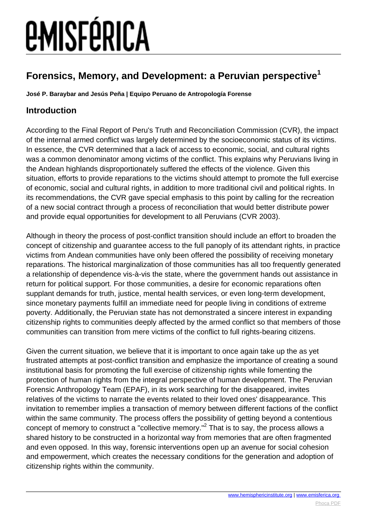### **Forensics, Memory, and Development: a Peruvian perspective<sup>1</sup>**

**José P. Baraybar and Jesús Peña | Equipo Peruano de Antropología Forense**

### **Introduction**

According to the Final Report of Peru's Truth and Reconciliation Commission (CVR), the impact of the internal armed conflict was largely determined by the socioeconomic status of its victims. In essence, the CVR determined that a lack of access to economic, social, and cultural rights was a common denominator among victims of the conflict. This explains why Peruvians living in the Andean highlands disproportionately suffered the effects of the violence. Given this situation, efforts to provide reparations to the victims should attempt to promote the full exercise of economic, social and cultural rights, in addition to more traditional civil and political rights. In its recommendations, the CVR gave special emphasis to this point by calling for the recreation of a new social contract through a process of reconciliation that would better distribute power and provide equal opportunities for development to all Peruvians (CVR 2003).

Although in theory the process of post-conflict transition should include an effort to broaden the concept of citizenship and guarantee access to the full panoply of its attendant rights, in practice victims from Andean communities have only been offered the possibility of receiving monetary reparations. The historical marginalization of those communities has all too frequently generated a relationship of dependence vis-à-vis the state, where the government hands out assistance in return for political support. For those communities, a desire for economic reparations often supplant demands for truth, justice, mental health services, or even long-term development, since monetary payments fulfill an immediate need for people living in conditions of extreme poverty. Additionally, the Peruvian state has not demonstrated a sincere interest in expanding citizenship rights to communities deeply affected by the armed conflict so that members of those communities can transition from mere victims of the conflict to full rights-bearing citizens.

Given the current situation, we believe that it is important to once again take up the as yet frustrated attempts at post-conflict transition and emphasize the importance of creating a sound institutional basis for promoting the full exercise of citizenship rights while fomenting the protection of human rights from the integral perspective of human development. The Peruvian Forensic Anthropology Team (EPAF), in its work searching for the disappeared, invites relatives of the victims to narrate the events related to their loved ones' disappearance. This invitation to remember implies a transaction of memory between different factions of the conflict within the same community. The process offers the possibility of getting beyond a contentious concept of memory to construct a "collective memory."<sup>2</sup> That is to say, the process allows a shared history to be constructed in a horizontal way from memories that are often fragmented and even opposed. In this way, forensic interventions open up an avenue for social cohesion and empowerment, which creates the necessary conditions for the generation and adoption of citizenship rights within the community.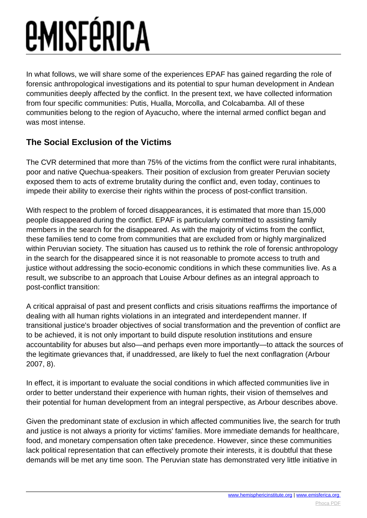# *EMISFÉRICA*

In what follows, we will share some of the experiences EPAF has gained regarding the role of forensic anthropological investigations and its potential to spur human development in Andean communities deeply affected by the conflict. In the present text, we have collected information from four specific communities: Putis, Hualla, Morcolla, and Colcabamba. All of these communities belong to the region of Ayacucho, where the internal armed conflict began and was most intense.

### **The Social Exclusion of the Victims**

The CVR determined that more than 75% of the victims from the conflict were rural inhabitants, poor and native Quechua-speakers. Their position of exclusion from greater Peruvian society exposed them to acts of extreme brutality during the conflict and, even today, continues to impede their ability to exercise their rights within the process of post-conflict transition.

With respect to the problem of forced disappearances, it is estimated that more than 15,000 people disappeared during the conflict. EPAF is particularly committed to assisting family members in the search for the disappeared. As with the majority of victims from the conflict, these families tend to come from communities that are excluded from or highly marginalized within Peruvian society. The situation has caused us to rethink the role of forensic anthropology in the search for the disappeared since it is not reasonable to promote access to truth and justice without addressing the socio-economic conditions in which these communities live. As a result, we subscribe to an approach that Louise Arbour defines as an integral approach to post-conflict transition:

A critical appraisal of past and present conflicts and crisis situations reaffirms the importance of dealing with all human rights violations in an integrated and interdependent manner. If transitional justice's broader objectives of social transformation and the prevention of conflict are to be achieved, it is not only important to build dispute resolution institutions and ensure accountability for abuses but also—and perhaps even more importantly—to attack the sources of the legitimate grievances that, if unaddressed, are likely to fuel the next conflagration (Arbour 2007, 8).

In effect, it is important to evaluate the social conditions in which affected communities live in order to better understand their experience with human rights, their vision of themselves and their potential for human development from an integral perspective, as Arbour describes above.

Given the predominant state of exclusion in which affected communities live, the search for truth and justice is not always a priority for victims' families. More immediate demands for healthcare, food, and monetary compensation often take precedence. However, since these communities lack political representation that can effectively promote their interests, it is doubtful that these demands will be met any time soon. The Peruvian state has demonstrated very little initiative in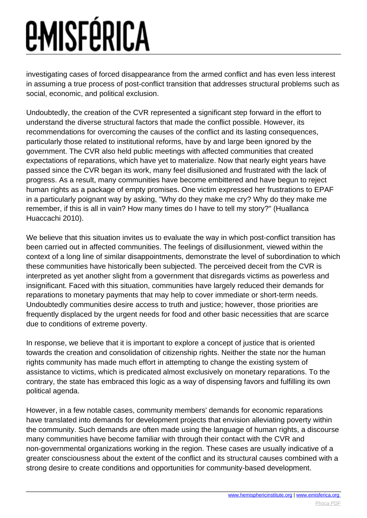investigating cases of forced disappearance from the armed conflict and has even less interest in assuming a true process of post-conflict transition that addresses structural problems such as social, economic, and political exclusion.

Undoubtedly, the creation of the CVR represented a significant step forward in the effort to understand the diverse structural factors that made the conflict possible. However, its recommendations for overcoming the causes of the conflict and its lasting consequences, particularly those related to institutional reforms, have by and large been ignored by the government. The CVR also held public meetings with affected communities that created expectations of reparations, which have yet to materialize. Now that nearly eight years have passed since the CVR began its work, many feel disillusioned and frustrated with the lack of progress. As a result, many communities have become embittered and have begun to reject human rights as a package of empty promises. One victim expressed her frustrations to EPAF in a particularly poignant way by asking, "Why do they make me cry? Why do they make me remember, if this is all in vain? How many times do I have to tell my story?" (Huallanca Huaccachi 2010).

We believe that this situation invites us to evaluate the way in which post-conflict transition has been carried out in affected communities. The feelings of disillusionment, viewed within the context of a long line of similar disappointments, demonstrate the level of subordination to which these communities have historically been subjected. The perceived deceit from the CVR is interpreted as yet another slight from a government that disregards victims as powerless and insignificant. Faced with this situation, communities have largely reduced their demands for reparations to monetary payments that may help to cover immediate or short-term needs. Undoubtedly communities desire access to truth and justice; however, those priorities are frequently displaced by the urgent needs for food and other basic necessities that are scarce due to conditions of extreme poverty.

In response, we believe that it is important to explore a concept of justice that is oriented towards the creation and consolidation of citizenship rights. Neither the state nor the human rights community has made much effort in attempting to change the existing system of assistance to victims, which is predicated almost exclusively on monetary reparations. To the contrary, the state has embraced this logic as a way of dispensing favors and fulfilling its own political agenda.

However, in a few notable cases, community members' demands for economic reparations have translated into demands for development projects that envision alleviating poverty within the community. Such demands are often made using the language of human rights, a discourse many communities have become familiar with through their contact with the CVR and non-governmental organizations working in the region. These cases are usually indicative of a greater consciousness about the extent of the conflict and its structural causes combined with a strong desire to create conditions and opportunities for community-based development.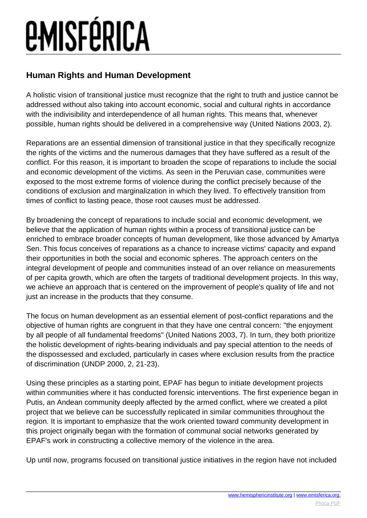### **Human Rights and Human Development**

A holistic vision of transitional justice must recognize that the right to truth and justice cannot be addressed without also taking into account economic, social and cultural rights in accordance with the indivisibility and interdependence of all human rights. This means that, whenever possible, human rights should be delivered in a comprehensive way (United Nations 2003, 2).

Reparations are an essential dimension of transitional justice in that they specifically recognize the rights of the victims and the numerous damages that they have suffered as a result of the conflict. For this reason, it is important to broaden the scope of reparations to include the social and economic development of the victims. As seen in the Peruvian case, communities were exposed to the most extreme forms of violence during the conflict precisely because of the conditions of exclusion and marginalization in which they lived. To effectively transition from times of conflict to lasting peace, those root causes must be addressed.

By broadening the concept of reparations to include social and economic development, we believe that the application of human rights within a process of transitional justice can be enriched to embrace broader concepts of human development, like those advanced by Amartya Sen. This focus conceives of reparations as a chance to increase victims' capacity and expand their opportunities in both the social and economic spheres. The approach centers on the integral development of people and communities instead of an over reliance on measurements of per capita growth, which are often the targets of traditional development projects. In this way, we achieve an approach that is centered on the improvement of people's quality of life and not just an increase in the products that they consume.

The focus on human development as an essential element of post-conflict reparations and the objective of human rights are congruent in that they have one central concern: "the enjoyment by all people of all fundamental freedoms" (United Nations 2003, 7). In turn, they both prioritize the holistic development of rights-bearing individuals and pay special attention to the needs of the dispossessed and excluded, particularly in cases where exclusion results from the practice of discrimination (UNDP 2000, 2, 21-23).

Using these principles as a starting point, EPAF has begun to initiate development projects within communities where it has conducted forensic interventions. The first experience began in Putis, an Andean community deeply affected by the armed conflict, where we created a pilot project that we believe can be successfully replicated in similar communities throughout the region. It is important to emphasize that the work oriented toward community development in this project originally began with the formation of communal social networks generated by EPAF's work in constructing a collective memory of the violence in the area.

Up until now, programs focused on transitional justice initiatives in the region have not included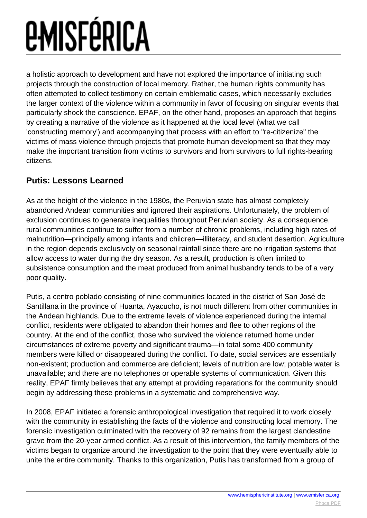a holistic approach to development and have not explored the importance of initiating such projects through the construction of local memory. Rather, the human rights community has often attempted to collect testimony on certain emblematic cases, which necessarily excludes the larger context of the violence within a community in favor of focusing on singular events that particularly shock the conscience. EPAF, on the other hand, proposes an approach that begins by creating a narrative of the violence as it happened at the local level (what we call 'constructing memory') and accompanying that process with an effort to "re-citizenize" the victims of mass violence through projects that promote human development so that they may make the important transition from victims to survivors and from survivors to full rights-bearing citizens.

### **Putis: Lessons Learned**

As at the height of the violence in the 1980s, the Peruvian state has almost completely abandoned Andean communities and ignored their aspirations. Unfortunately, the problem of exclusion continues to generate inequalities throughout Peruvian society. As a consequence, rural communities continue to suffer from a number of chronic problems, including high rates of malnutrition—principally among infants and children—illiteracy, and student desertion. Agriculture in the region depends exclusively on seasonal rainfall since there are no irrigation systems that allow access to water during the dry season. As a result, production is often limited to subsistence consumption and the meat produced from animal husbandry tends to be of a very poor quality.

Putis, a centro poblado consisting of nine communities located in the district of San José de Santillana in the province of Huanta, Ayacucho, is not much different from other communities in the Andean highlands. Due to the extreme levels of violence experienced during the internal conflict, residents were obligated to abandon their homes and flee to other regions of the country. At the end of the conflict, those who survived the violence returned home under circumstances of extreme poverty and significant trauma—in total some 400 community members were killed or disappeared during the conflict. To date, social services are essentially non-existent; production and commerce are deficient; levels of nutrition are low; potable water is unavailable; and there are no telephones or operable systems of communication. Given this reality, EPAF firmly believes that any attempt at providing reparations for the community should begin by addressing these problems in a systematic and comprehensive way.

In 2008, EPAF initiated a forensic anthropological investigation that required it to work closely with the community in establishing the facts of the violence and constructing local memory. The forensic investigation culminated with the recovery of 92 remains from the largest clandestine grave from the 20-year armed conflict. As a result of this intervention, the family members of the victims began to organize around the investigation to the point that they were eventually able to unite the entire community. Thanks to this organization, Putis has transformed from a group of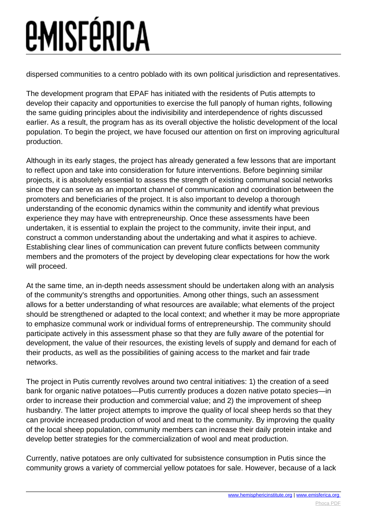dispersed communities to a centro poblado with its own political jurisdiction and representatives.

The development program that EPAF has initiated with the residents of Putis attempts to develop their capacity and opportunities to exercise the full panoply of human rights, following the same guiding principles about the indivisibility and interdependence of rights discussed earlier. As a result, the program has as its overall objective the holistic development of the local population. To begin the project, we have focused our attention on first on improving agricultural production.

Although in its early stages, the project has already generated a few lessons that are important to reflect upon and take into consideration for future interventions. Before beginning similar projects, it is absolutely essential to assess the strength of existing communal social networks since they can serve as an important channel of communication and coordination between the promoters and beneficiaries of the project. It is also important to develop a thorough understanding of the economic dynamics within the community and identify what previous experience they may have with entrepreneurship. Once these assessments have been undertaken, it is essential to explain the project to the community, invite their input, and construct a common understanding about the undertaking and what it aspires to achieve. Establishing clear lines of communication can prevent future conflicts between community members and the promoters of the project by developing clear expectations for how the work will proceed.

At the same time, an in-depth needs assessment should be undertaken along with an analysis of the community's strengths and opportunities. Among other things, such an assessment allows for a better understanding of what resources are available; what elements of the project should be strengthened or adapted to the local context; and whether it may be more appropriate to emphasize communal work or individual forms of entrepreneurship. The community should participate actively in this assessment phase so that they are fully aware of the potential for development, the value of their resources, the existing levels of supply and demand for each of their products, as well as the possibilities of gaining access to the market and fair trade networks.

The project in Putis currently revolves around two central initiatives: 1) the creation of a seed bank for organic native potatoes—Putis currently produces a dozen native potato species—in order to increase their production and commercial value; and 2) the improvement of sheep husbandry. The latter project attempts to improve the quality of local sheep herds so that they can provide increased production of wool and meat to the community. By improving the quality of the local sheep population, community members can increase their daily protein intake and develop better strategies for the commercialization of wool and meat production.

Currently, native potatoes are only cultivated for subsistence consumption in Putis since the community grows a variety of commercial yellow potatoes for sale. However, because of a lack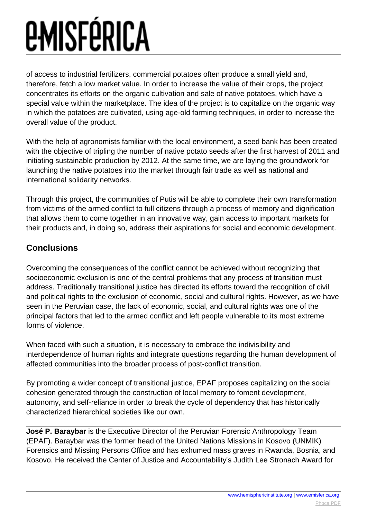of access to industrial fertilizers, commercial potatoes often produce a small yield and, therefore, fetch a low market value. In order to increase the value of their crops, the project concentrates its efforts on the organic cultivation and sale of native potatoes, which have a special value within the marketplace. The idea of the project is to capitalize on the organic way in which the potatoes are cultivated, using age-old farming techniques, in order to increase the overall value of the product.

With the help of agronomists familiar with the local environment, a seed bank has been created with the objective of tripling the number of native potato seeds after the first harvest of 2011 and initiating sustainable production by 2012. At the same time, we are laying the groundwork for launching the native potatoes into the market through fair trade as well as national and international solidarity networks.

Through this project, the communities of Putis will be able to complete their own transformation from victims of the armed conflict to full citizens through a process of memory and dignification that allows them to come together in an innovative way, gain access to important markets for their products and, in doing so, address their aspirations for social and economic development.

### **Conclusions**

Overcoming the consequences of the conflict cannot be achieved without recognizing that socioeconomic exclusion is one of the central problems that any process of transition must address. Traditionally transitional justice has directed its efforts toward the recognition of civil and political rights to the exclusion of economic, social and cultural rights. However, as we have seen in the Peruvian case, the lack of economic, social, and cultural rights was one of the principal factors that led to the armed conflict and left people vulnerable to its most extreme forms of violence.

When faced with such a situation, it is necessary to embrace the indivisibility and interdependence of human rights and integrate questions regarding the human development of affected communities into the broader process of post-conflict transition.

By promoting a wider concept of transitional justice, EPAF proposes capitalizing on the social cohesion generated through the construction of local memory to foment development, autonomy, and self-reliance in order to break the cycle of dependency that has historically characterized hierarchical societies like our own.

**José P. Baraybar** is the Executive Director of the Peruvian Forensic Anthropology Team (EPAF). Baraybar was the former head of the United Nations Missions in Kosovo (UNMIK) Forensics and Missing Persons Office and has exhumed mass graves in Rwanda, Bosnia, and Kosovo. He received the Center of Justice and Accountability's Judith Lee Stronach Award for